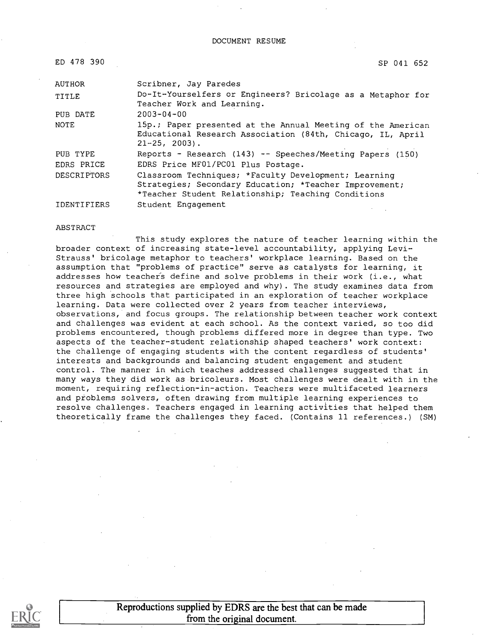| ED 478 390         | SP 041 652                                                                                                                                                           |
|--------------------|----------------------------------------------------------------------------------------------------------------------------------------------------------------------|
| <b>AUTHOR</b>      | Scribner, Jay Paredes                                                                                                                                                |
| TITLE              | Do-It-Yourselfers or Engineers? Bricolage as a Metaphor for<br>Teacher Work and Learning.                                                                            |
| PUB DATE           | $2003 - 04 - 00$                                                                                                                                                     |
| <b>NOTE</b>        | 15p.; Paper presented at the Annual Meeting of the American<br>Educational Research Association (84th, Chicago, IL, April<br>$21 - 25$ , $2003$ ).                   |
| PUB TYPE           | Reports - Research (143) -- Speeches/Meeting Papers (150)                                                                                                            |
| EDRS PRICE         | EDRS Price MF01/PC01 Plus Postage.                                                                                                                                   |
| <b>DESCRIPTORS</b> | Classroom Techniques; *Faculty Development; Learning<br>Strategies; Secondary Education; *Teacher Improvement;<br>*Teacher Student Relationship; Teaching Conditions |
| IDENTIFIERS        | Student Engagement                                                                                                                                                   |

#### ABSTRACT

This study explores the nature of teacher learning within the broader context of increasing state-level accountability, applying Levi-Strauss' bricolage metaphor to teachers' workplace learning. Based on the assumption that "problems of practice" serve as catalysts for learning, it addresses how teacher's define and solve problems in their work (i.e., what resources and strategies are employed and why). The study examines data from three high schools that participated in an exploration of teacher workplace learning. Data were collected over 2 years from teacher interviews, observations, and focus groups. The relationship between teacher work context and challenges was evident at each school. As the context varied, so too did problems encountered, though problems differed more in degree than type. Two aspects of the teacher-student relationship shaped teachers' work context: the challenge of engaging students with the content regardless of students' interests and backgrounds and balancing student engagement and student control. The manner in which teaches addressed challenges suggested that in many ways they did work as bricoleurs. Most challenges were dealt with in the moment, requiring reflection-in-action. Teachers were multifaceted learners and problems solvers, often drawing from multiple learning experiences to resolve challenges. Teachers engaged in learning activities that helped them theoretically frame the challenges they faced. (Contains 11 references.) (SM)

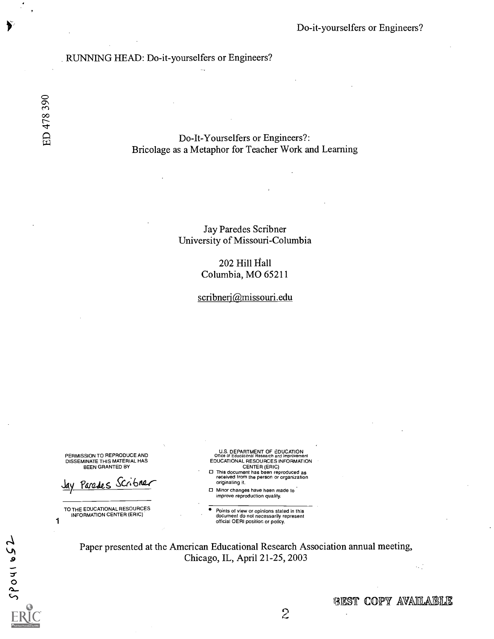#### RUNNING HEAD: Do-it-yourselfers or Engineers?

Do-It-Yourselfers or Engineers?: Bricolage as a Metaphor for Teacher Work and Learning

> Jay Paredes Scribner University of Missouri-Columbia

> > 202 Hill Hall Columbia, MO 65211

scribnerj@missouri.edu

PERMISSION TO REPRODUCE AND DISSEMINATE THIS MATERIAL HAS BEEN GRANTED BY

Parades Scribnan

TO THE EDUCATIONAL RESOURCES INFORMATION CENTER (ERIC)

 $\overline{a}$ 

1

 $\overline{\mathbf{o}}$ 

 $\overline{S}$ 

U.S. DEPARTMENT OF EDUCATION<br>Office of Educational Research and Improvement<br>EDUCATIONAL RESOURCES INFORMATION CENTER (ERIC)

- This document has been reproduced as received from the person or organization originating it.
- Minor changes have been made to improve reproduction quality.

Points of view or opinions stated in this document do not necessarily represent official OERI position or policy.

Paper presented at the American Educational Research Association annual meeting, Chicago, IL, April 21-25, 2003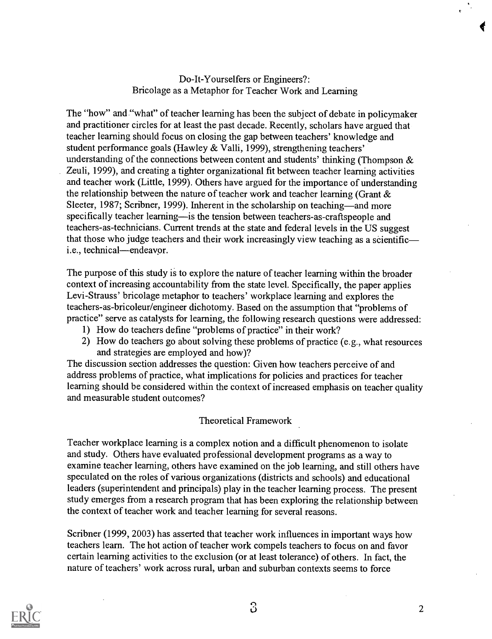## Do-It-Yourselfers or Engineers?: Bricolage as a Metaphor for Teacher Work and Learning

The "how" and "what" of teacher learning has been the subject of debate in policymaker and practitioner circles for at least the past decade. Recently, scholars have argued that teacher learning should focus on closing the gap between teachers' knowledge and student performance goals (Hawley & Valli, 1999), strengthening teachers' understanding of the connections between content and students' thinking (Thompson & Zeuli, 1999), and creating a tighter organizational fit between teacher learning activities and teacher work (Little, 1999). Others have argued for the importance of understanding the relationship between the nature of teacher work and teacher learning (Grant & Sleeter, 1987; Scribner, 1999). Inherent in the scholarship on teaching—and more specifically teacher learning—is the tension between teachers-as-craftspeople and teachers-as-technicians. Current trends at the state and federal levels in the US suggest that those who judge teachers and their work increasingly view teaching as a scientific i.e., technical—endeavor.

The purpose of this study is to explore the nature of teacher learning within the broader context of increasing accountability from the state level. Specifically, the paper applies Levi-Strauss' bricolage metaphor to teachers' workplace learning and explores the teachers-as-bricoleur/engineer dichotomy. Based on the assumption that "problems of practice" serve as catalysts for learning, the following research questions were addressed:

- 1) How do teachers define "problems of practice" in their work?
- 2) How do teachers go about solving these problems of practice (e.g., what resources and strategies are employed and how)?

The discussion section addresses the question: Given how teachers perceive of and address problems of practice, what implications for policies and practices for teacher learning should be considered within the context of increased emphasis on teacher quality and measurable student outcomes?

### Theoretical Framework

Teacher workplace learning is a complex notion and a difficult phenomenon to isolate and study. Others have evaluated professional development programs as a way to examine teacher learning, others have examined on the job learning, and still others have speculated on the roles of various organizations (districts and schools) and educational leaders (superintendent and principals) play in the teacher learning process. The present study emerges from a research program that has been exploring the relationship between the context of teacher work and teacher learning for several reasons.

Scribner (1999, 2003) has asserted that teacher work influences in important ways how teachers learn. The hot action of teacher work compels teachers to focus on and favor certain learning activities to the exclusion (or at least tolerance) of others. In fact, the nature of teachers' work across rural, urban and suburban contexts seems to force

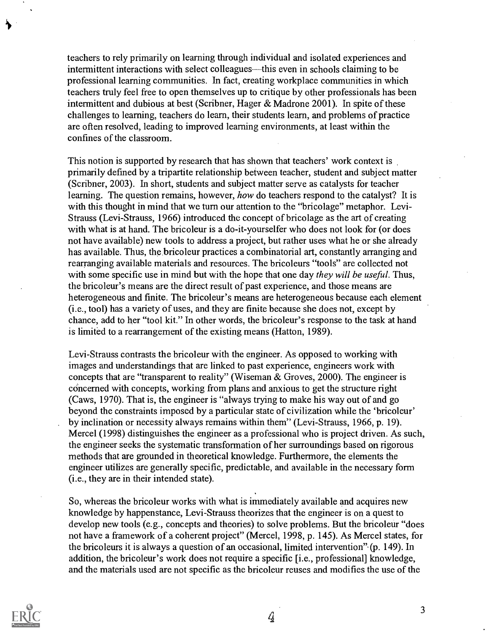teachers to rely primarily on learning through individual and isolated experiences and intermittent interactions with select colleagues—this even in schools claiming to be professional learning communities. In fact, creating workplace communities in which teachers truly feel free to open themselves up to critique by other professionals has been intermittent and dubious at best (Scribner, Hager & Madrone 2001). In spite of these challenges to learning, teachers do learn, their students learn, and problems of practice are often resolved, leading to improved learning environments, at least within the confines of the classroom.

This notion is supported by research that has shown that teachers' work context is primarily defined by a tripartite relationship between teacher, student and subject matter (Scribner, 2003). In short, students and subject matter serve as catalysts for teacher learning. The question remains, however, how do teachers respond to the catalyst? It is with this thought in mind that we turn our attention to the "bricolage" metaphor. Levi-Strauss (Levi-Strauss, 1966) introduced the concept of bricolage as the art of creating with what is at hand. The bricoleur is a do-it-yourselfer who does not look for (or does not have available) new tools to address a project, but rather uses what he or she already has available. Thus, the bricoleur practices a combinatorial art, constantly arranging and rearranging available materials and resources. The bricoleurs "tools" are collected not with some specific use in mind but with the hope that one day they will be useful. Thus, the bricoleur's means are the direct result of past experience, and those means are heterogeneous and finite. The bricoleur's means are heterogeneous because each element (i.e., tool) has a variety of uses, and they are finite because she does not, except by chance, add to her "tool kit." In other words, the bricoleur's response to the task at hand is limited to a rearrangement of the existing means (Hatton, 1989).

Levi-Strauss contrasts the bricoleur with the engineer. As opposed to working with images and understandings that are linked to past experience, engineers work with concepts that are "transparent to reality" (Wiseman & Groves, 2000). The engineer is concerned with concepts, working from plans and anxious to get the structure right (Caws, 1970). That is, the engineer is "always trying to make his way out of and go beyond the constraints imposed by a particular state of civilization while the 'bricoleur' by inclination or necessity always remains within them" (Levi-Strauss, 1966, p. 19). Mercel (1998) distinguishes the engineer as a professional who is project driven. As such, the engineer seeks the systematic transformation of her surroundings based on rigorous methods that are grounded in theoretical knowledge. Furthermore, the elements the engineer utilizes are generally specific, predictable, and available in the necessary form (i.e., they are in their intended state).

So, whereas the bricoleur works with what is immediately available and acquires new knowledge by happenstance, Levi-Strauss theorizes that the engineer is on a quest to develop new tools (e.g., concepts and theories) to solve problems. But the bricoleur "does not have a framework of a coherent project" (Mercel, 1998, p. 145). As Mercel states, for the bricoleurs it is always a question of an occasional, limited intervention". (p. 149). In addition, the bricoleur's work does not require a specific [i.e., professional] knowledge, and the materials used are not specific as the bricoleur reuses and modifies the use of the



4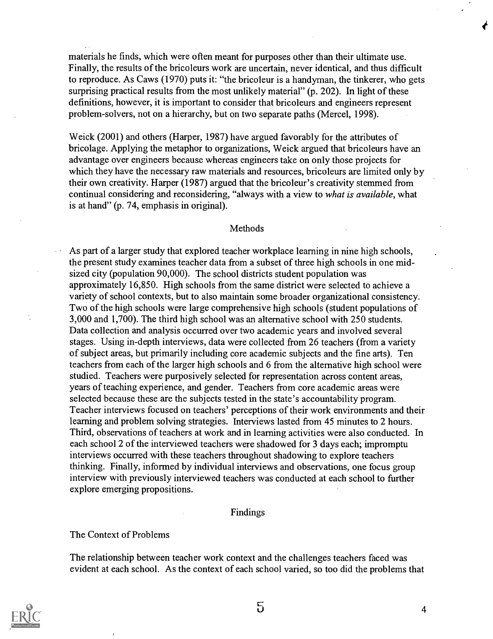materials he finds, which were often meant for purposes other than their ultimate use. Finally, the results of the bricoleurs work are uncertain, never identical, and thus difficult to reproduce. As Caws (1970) puts it: "the bricoleur is a handyman, the tinkerer, who gets surprising practical results from the most unlikely material" (p. 202). In light of these definitions, however, it is important to consider that bricoleurs and engineers represent problem-solvers, not on a hierarchy, but on two separate paths (Mercel, 1998).

Weick (2001) and others (Harper, 1987) have argued favorably for the attributes of bricolage. Applying the metaphor to organizations, Weick argued that bricoleurs have an advantage over engineers because whereas engineers take on only those projects for which they have the necessary raw materials and resources, bricoleurs are limited only by their own creativity. Harper (1987) argued that the bricoleur's creativity stemmed from continual considering and reconsidering, "always with a view to what is available, what is at hand" (p. 74, emphasis in original).

#### **Methods**

As part of a larger study that explored teacher workplace learning in nine high schools, the present study examines teacher data from a subset of three high schools in one midsized city (population 90,000). The school districts student population was approximately 16,850. High schools from the same district were selected to achieve a variety of school contexts, but to also maintain some broader organizational consistency. Two of the high schools were large comprehensive high schools (student populations of 3,000 and 1,700). The third high school was an alternative school with 250 students. Data collection and analysis occurred over two academic years and involved several stages. Using in-depth interviews, data were collected from 26 teachers (from a variety of subject areas, but primarily including core academic subjects and the fine arts). Ten teachers from each of the larger high schools and 6 from the alternative high school were studied. Teachers were purposively selected for representation across content areas, years of teaching experience, and gender. Teachers from core academic areas were selected because these are the subjects tested in the state's accountability program. Teacher interviews focused on teachers' perceptions of their work environments and their learning and problem solving strategies. Interviews lasted from 45 minutes to 2 hours. Third, observations of teachers at work and in learning activities were also conducted. In each school 2 of the interviewed teachers were shadowed for 3 days each; impromptu interviews occurred with these teachers throughout shadowing to explore teachers thinking. Finally, informed by individual interviews and observations, one focus group interview with previously interviewed teachers was conducted at each school to further explore emerging propositions.

#### Findings

#### The Context of Problems

The relationship between teacher work context and the challenges teachers faced was evident at each school. As the context of each school varied, so too did the problems that



 $5 \hspace{2.5cm}$  4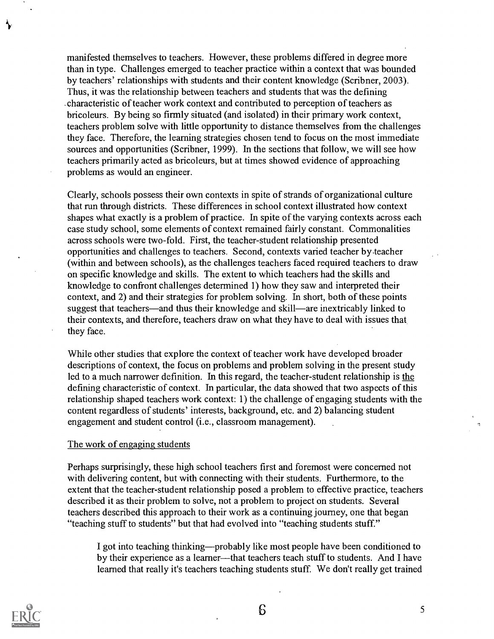manifested themselves to teachers. However, these problems differed in degree more than in type. Challenges emerged to teacher practice within a context that was bounded by teachers' relationships with students and their content knowledge (Scribner, 2003). Thus, it was the relationship between teachers and students that was the defining .characteristic of teacher work context and contributed to perception of teachers as bricoleurs. By being so firmly situated (and isolated) in their primary work context, teachers problem solve with little opportunity to distance themselves from the challenges they face. Therefore, the learning strategies chosen tend to focus on the most immediate sources and opportunities (Scribner, 1999). In the sections that follow, we will see how teachers primarily acted as bricoleurs, but at times showed evidence of approaching problems as would an engineer.

Clearly, schools possess their own contexts in spite of strands of organizational culture that run through districts. These differences in school context illustrated how context shapes what exactly is a problem of practice. In spite of the varying contexts across each case study school, some elements of context remained fairly constant. Commonalities across schools were two-fold. First, the teacher-student relationship presented opportunities and challenges to teachers. Second, contexts varied teacher by teacher (within and between schools), as the challenges teachers faced required teachers to draw on specific knowledge and skills. The extent to which teachers had the skills and knowledge to confront challenges determined 1) how they saw and interpreted their context, and 2) and their strategies for problem solving. In short, both of these points suggest that teachers—and thus their knowledge and skill—are inextricably linked to their contexts, and therefore, teachers draw on what they have to deal with issues that they face.

While other studies that explore the context of teacher work have developed broader descriptions of context, the focus on problems and problem solving in the present study led to a much narrower definition. In this regard, the teacher-student relationship is the defining characteristic of context. In particular, the data showed that two aspects of this relationship shaped teachers work context: 1) the challenge of engaging students with the content regardless of students' interests, background, etc. and 2) balancing student engagement and student control (i.e., classroom management).

#### The work of engaging students

Perhaps surprisingly, these high school teachers first and foremost were concerned not with delivering content, but with connecting with their students. Furthermore, to the extent that the teacher-student relationship posed a problem to effective practice, teachers described it as their problem to solve, not a problem to project on students. Several teachers described this approach to their work as a continuing journey, one that began "teaching stuff to students" but that had evolved into "teaching students stuff."

I got into teaching thinking—probably like most people have been conditioned to by their experience as a learner—that teachers teach stuff to students. And I have learned that really it's teachers teaching students stuff. We don't really get trained

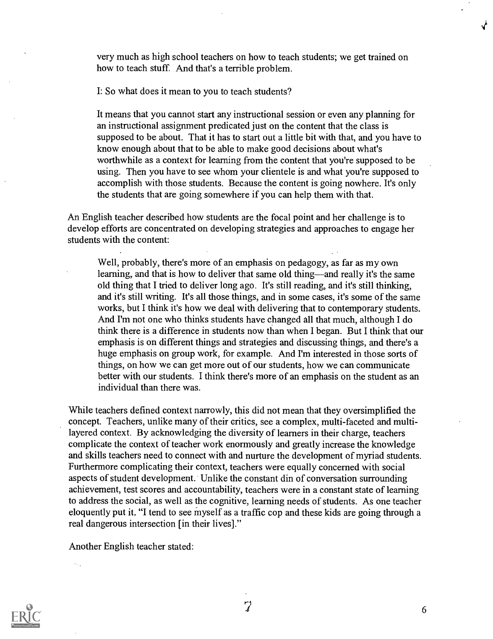very much as high school teachers on how to teach students; we get trained on how to teach stuff. And that's a terrible problem.

I: So what does it mean to you to teach students?

It means that you cannot start any instructional session or even any planning for an instructional assignment predicated just on the content that the class is supposed to be about. That it has to start out a little bit with that, and you have to know enough about that to be able to make good decisions about what's worthwhile as a context for learning from the content that you're supposed to be using. Then you have to see whom your clientele is and what you're supposed to accomplish with those students. Because the content is going nowhere. It's only the students that are going somewhere if you can help them with that.

An English teacher described how students are the focal point and her challenge is to develop efforts are concentrated on developing strategies and approaches to engage her students with the content:

Well, probably, there's more of an emphasis on pedagogy, as far as my own learning, and that is how to deliver that same old thing—and really it's the same old thing that I tried to deliver long ago. It's still reading, and it's still thinking, and it's still writing. It's all those things, and in some cases, it's some of the same works, but I think it's how we deal with delivering that to contemporary students. And I'm not one who thinks students have changed all that much, although I do think there is a difference in students now than when I began. But I think that our emphasis is on different things and strategies and discussing things, and there's a huge emphasis on group work, for example. And I'm interested in those sorts of things, on how we can get more out of our students, how we can communicate better with our students. I think there's more of an emphasis on the student as an individual than there was.

While teachers defined context narrowly, this did not mean that they oversimplified the concept. Teachers, unlike many of their critics, see a complex, multi-faceted and multilayered context. By acknowledging the diversity of learners in their charge, teachers complicate the context of teacher work enormously and greatly increase the knowledge and skills teachers need to connect with and nurture the development of myriad students. Furthermore complicating their context, teachers were equally concerned with social aspects of student development. Unlike the constant din of conversation surrounding achievement, test scores and accountability, teachers were in a constant state of learning to address the social, as well as the cognitive, learning needs of students. As one teacher eloquently put it. "I tend to see myself as a traffic cop and these kids are going through a real dangerous intersection [in their lives]."

Another English teacher stated:

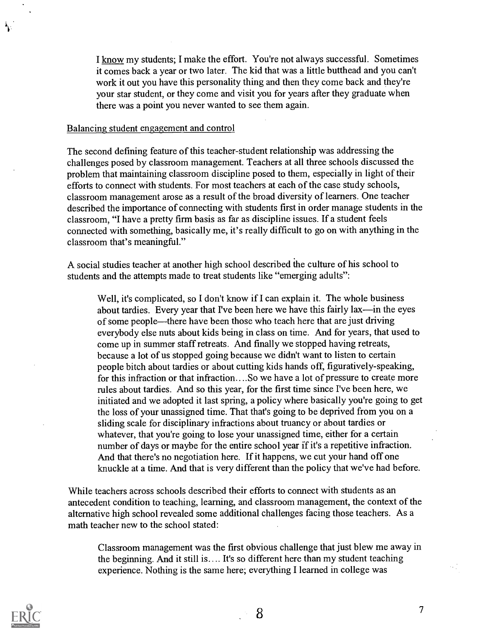I know my students; I make the effort. You're not always successful. Sometimes it comes back a year or two later. The kid that was a little butthead and you can't work it out you have this personality thing and then they come back and they're your star student, or they come and visit you for years after they graduate when there was a point you never wanted to see them again.

#### Balancing student engagement and control

The second defining feature of this teacher-student relationship was addressing the challenges posed by classroom management. Teachers at all three schools discussed the problem that maintaining classroom discipline posed to them, especially in light of their efforts to connect with students. For most teachers at each of the case study schools, classroom management arose as a result of the broad diversity of learners. One teacher described the importance of connecting with students first in order manage students in the classroom, "I have a pretty firm basis as far as discipline issues. If a student feels connected with something, basically me, it's really difficult to go on with anything in the classroom that's meaningful."

A social studies teacher at another high school described the culture of his school to students and the attempts made to treat students like "emerging adults":

Well, it's complicated, so I don't know if I can explain it. The whole business about tardies. Every year that I've been here we have this fairly lax—in the eyes of some people—there have been those who teach here that are just driving everybody else nuts about kids being in class on time. And for years, that used to come up in summer staff retreats. And finally we stopped having retreats, because a lot of us stopped going because we didn't want to listen to certain people bitch about tardies or about cutting kids hands off, figuratively-speaking, for this infraction or that infraction....So we have a lot of pressure to create more rules about tardies. And so this year, for the first time since I've been here, we initiated and we adopted it last spring, a policy where basically you're going to get the loss of your unassigned time. That that's going to be deprived from you on a sliding scale for disciplinary infractions about truancy or about tardies or whatever, that you're going to lose your unassigned time, either for a certain number of days or maybe for the entire school year if it's a repetitive infraction. And that there's no negotiation here. If it happens, we cut your hand off one knuckle at a time. And that is very different than the policy that we've had before.

While teachers across schools described their efforts to connect with students as an antecedent condition to teaching, learning, and classroom management, the context of the alternative high school revealed some additional challenges facing those teachers. As a math teacher new to the school stated:

Classroom management was the first obvious challenge that just blew me away in the beginning. And it still is.... It's so different here than my student teaching experience. Nothing is the same here; everything I learned in college was



7

a ji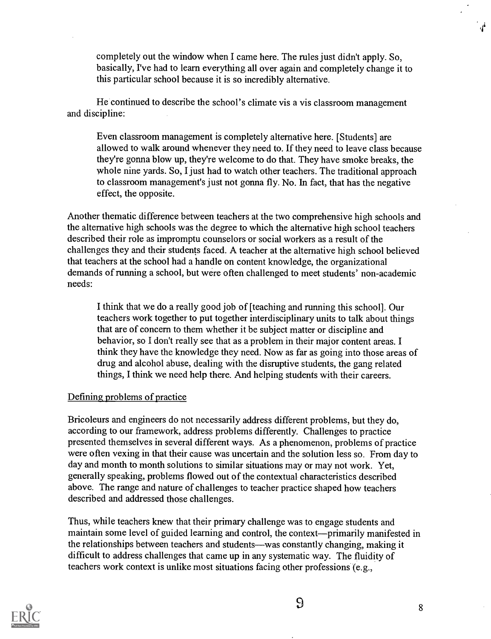completely out the window when I came here. The rules just didn't apply. So, basically, I've had to learn everything all over again and completely change it to this particular school because it is so incredibly alternative.

He continued to describe the school's climate vis a vis classroom management and discipline:

Even classroom management is completely alternative here. [Students] are allowed to walk around whenever they need to. If they need to leave class because they're gonna blow up, they're welcome to do that. They have smoke breaks, the whole nine yards. So, I just had to watch other teachers. The traditional approach to classroom management's just not gonna fly. No. In fact, that has the negative effect, the opposite.

Another thematic difference between teachers at the two comprehensive high schools and the alternative high schools was the degree to which the alternative high school teachers described their role as impromptu counselors or social workers as a result of the challenges they and their students faced. A teacher at the alternative high school believed that teachers at the school had a handle on content knowledge, the organizational demands of running a school, but were often challenged to meet students' non-academic needs:

I think that we do a really good job of [teaching and running this school]. Our teachers work together to put together interdisciplinary units to talk about things that are of concern to them whether it be subject matter or discipline and behavior, so I don't really see that as a problem in their major content areas. I think they have the knowledge they need. Now as far as going into those areas of drug and alcohol abuse, dealing with the disruptive students, the gang related things, I think we need help there. And helping students with their careers.

### Defining problems of practice

Bricoleurs and engineers do not necessarily address different problems, but they do, according to our framework, address problems differently. Challenges to practice presented themselves in several different ways. As a phenomenon, problems of practice were often vexing in that their cause was uncertain and the solution less so. From day to day and month to month solutions to similar situations may or may not work. Yet, generally speaking, problems flowed out of the contextual characteristics described above. The range and nature of challenges to teacher practice shaped how teachers described and addressed those challenges.

Thus, while teachers knew that their primary challenge was to engage students and maintain some level of guided learning and control, the context—primarily manifested in the relationships between teachers and students—was constantly changing, making it difficult to address challenges that came up in any systematic way. The fluidity of teachers work context is unlike most situations facing other professions (e.g.,



 $\boldsymbol{d}$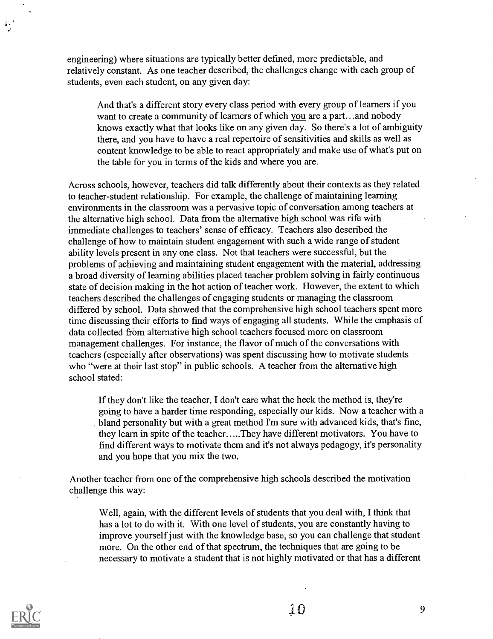engineering) where situations are typically better defined, more predictable, and relatively constant. As one teacher described, the challenges change with each group of students, even each student, on any given day:

And that's a different story every class period with every group of learners if you want to create a community of learners of which you are a part...and nobody knows exactly what that looks like on any given day. So there's a lot of ambiguity there, and you have to have a real repertoire of sensitivities and skills as well as content knowledge to be able to react appropriately and make use of what's put on the table for you in terms of the kids and where you are.

Across schools, however, teachers did talk differently about their contexts as they related to teacher-student relationship. For example, the challenge of maintaining learning environments in the classroom was a pervasive topic of conversation among teachers at the alternative high school. Data from the alternative high school was rife with immediate challenges to teachers' sense of efficacy. Teachers also described the challenge of how to maintain student engagement with such a wide range of student ability levels present in any one class. Not that teachers were successful, but the problems of achieving and maintaining student engagement with the material, addressing a broad diversity of learning abilities placed teacher problem solving in fairly continuous state of decision making in the hot action of teacher work. However, the extent to which teachers described the challenges of engaging students or managing the classroom differed by school. Data showed that the comprehensive high school teachers spent more time discussing their efforts to find ways of engaging all students. While the emphasis of data collected from alternative high school teachers focused more on classroom management challenges. For instance, the flavor of much of the conversations with teachers (especially after observations) was spent discussing how to motivate students who "were at their last stop" in public schools. A teacher from the alternative high school stated:

If they don't like the teacher, I don't care what the heck the method is, they're going to have a harder time responding, especially our kids. Now a teacher with a bland personality but with a great method I'm sure with advanced kids, that's fine, they learn in spite of the teacher.....They have different motivators. You have to find different ways to motivate them and it's not always pedagogy, it's personality and you hope that you mix the two.

Another teacher from one of the comprehensive high schools described the motivation challenge this way:

Well, again, with the different levels of students that you deal with, I think that has a lot to do with it. With one level of students, you are constantly having to improve yourself just with the knowledge base, so you can challenge that student more. On the other end of that spectrum, the techniques that are going to be necessary to motivate a student that is not highly motivated or that has a different

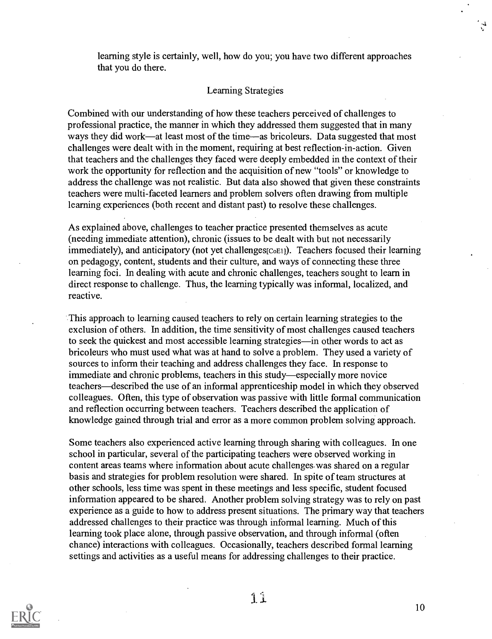learning style is certainly, well, how do you; you have two different approaches that you do there.

#### Learning Strategies

Combined with our understanding of how these teachers perceived of challenges to professional practice, the manner in which they addressed them suggested that in many ways they did work—at least most of the time—as bricoleurs. Data suggested that most challenges were dealt with in the moment, requiring at best reflection-in-action. Given that teachers and the challenges they faced were deeply embedded in the context of their work the opportunity for reflection and the acquisition of new "tools" or knowledge to address the challenge was not realistic. But data also showed that given these constraints teachers were multi-faceted learners and problem solvers often drawing from multiple learning experiences (both recent and distant past) to resolve these challenges.

As explained above, challenges to teacher practice presented themselves as acute (needing immediate attention), chronic (issues to be dealt with but not necessarily immediately), and anticipatory (not yet challenges $[CoE1]$ ). Teachers focused their learning on pedagogy, content, students and their culture, and ways of connecting these three learning foci. In dealing with acute and chronic challenges, teachers sought to learn in direct response to challenge. Thus, the learning typically was informal, localized, and reactive.

This approach to learning caused teachers to rely on certain learning strategies to the exclusion of others. In addition, the time sensitivity of most challenges caused teachers to seek the quickest and most accessible learning strategies—in other words to act as bricoleurs who must used what was at hand to solve a problem. They used a variety of sources to inform their teaching and address challenges they face. In response to immediate and chronic problems, teachers in this study—especially more novice teachers—described the use of an informal apprenticeship model in which they observed colleagues. Often, this type of observation was passive with little formal communication and reflection occurring between teachers. Teachers described the application of knowledge gained through trial and error as a more common problem solving approach.

Some teachers also experienced active learning through sharing with colleagues. In one school in particular, several of the participating teachers were observed working in content areas teams where information about acute challenges. was shared on a regular basis and strategies for problem resolution were shared. In spite of team structures at other schools, less time was spent in these meetings and less specific, student focused information appeared to be shared. Another problem solving strategy was to rely on past experience as a guide to how to address present situations. The primary way that teachers addressed challenges to their practice was through informal learning. Much of this learning took place alone, through passive observation, and through informal (often chance) interactions with colleagues. Occasionally, teachers described formal learning settings and activities as a useful means for addressing challenges to their practice.

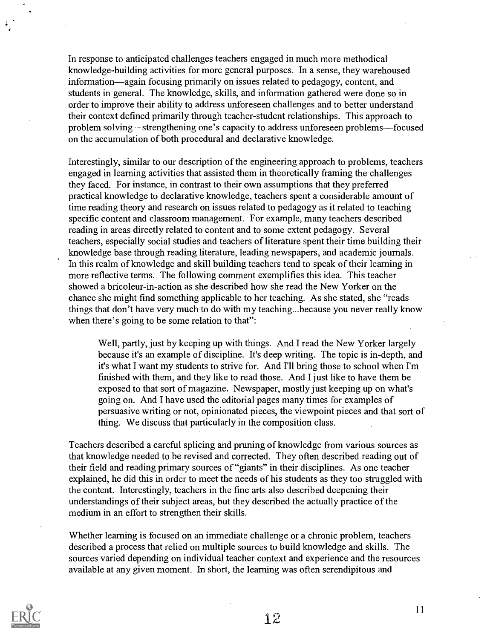In response to anticipated challenges teachers engaged in much more methodical knowledge-building activities for more general purposes. In a sense, they warehoused information—again focusing primarily on issues related to pedagogy, content, and students in general. The knowledge, skills, and information gathered were done so in order to improve their ability to address unforeseen challenges and to better understand their context defined primarily through teacher-student relationships. This approach to problem solving—strengthening one's capacity to address unforeseen problems—focused on the accumulation of both procedural and declarative knowledge.

Interestingly, similar to our description of the engineering approach to problems, teachers engaged in learning activities that assisted them in theoretically framing the challenges they faced. For instance, in contrast to their own assumptions that they preferred practical knowledge to declarative knowledge, teachers spent a considerable amount of time reading theory and research on issues related to pedagogy as it related to teaching specific content and classroom management. For example, many teachers described reading in areas directly related to content and to some extent pedagogy. Several teachers, especially social studies and teachers of literature spent their time building their knowledge base through reading literature, leading newspapers, and academic journals. In this realm of knowledge and skill building teachers tend to speak of their learning in more reflective terms. The following comment exemplifies this idea. This teacher showed a bricoleur-in-action as she described how she read the New Yorker on the chance she might find something applicable to her teaching. As she stated, she "reads things that don't have very much to do with my teaching...because you never really know when there's going to be some relation to that":

Well, partly, just by keeping up with things. And I read the New Yorker largely because it's an example of discipline. It's deep writing. The topic is in-depth, and it's what I want my students to strive for. And I'll bring those to school when I'm finished with them, and they like to read those. And I just like to have them be exposed to that sort of magazine. Newspaper, mostly just keeping up on what's going on. And I have used the editorial pages many times for examples of persuasive writing or not, opinionated pieces, the viewpoint pieces and that sort of thing. We discuss that particularly in the composition class.

Teachers described a careful splicing and pruning of knowledge from various sources as that knowledge needed to be revised and corrected. They often described reading out of their field and reading primary sources of "giants" in their disciplines. As one teacher explained, he did this in order to meet the needs of his students as they too struggled with the content. Interestingly, teachers in the fine arts also described deepening their understandings of their subject areas, but they described the actually practice of the medium in an effort to strengthen their skills.

Whether learning is focused on an immediate challenge or a chronic problem, teachers described a process that relied on multiple sources to build knowledge and skills. The sources varied depending on individual teacher context and experience and the resources available at any given moment. In short, the learning was often serendipitous and

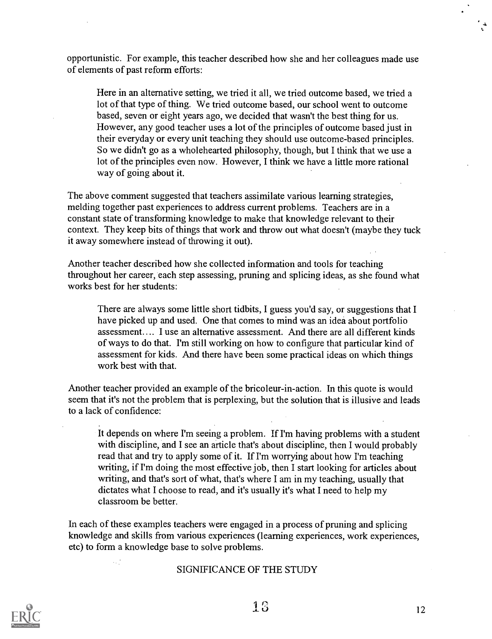opportunistic. For example, this teacher described how she and her colleagues made use of elements of past reform efforts:

Here in an alternative setting, we tried it all, we tried outcome based, we tried a lot of that type of thing. We tried outcome based, our school went to outcome based, seven or eight years ago, we decided that wasn't the best thing for us. However, any good teacher uses a lot of the principles of outcome based just in their everyday or every unit teaching they should use outcome-based principles. So we didn't go as a wholehearted philosophy, though, but I think that we use a lot of the principles even now. However, I think we have a little more rational way of going about it.

The above comment suggested that teachers assimilate various learning strategies, melding together past experiences to address current problems. Teachers are in a constant state of transforming knowledge to make that knowledge relevant to their context. They keep bits of things that work and throw out what doesn't (maybe they tuck it away somewhere instead of throwing it out).

Another teacher described how she collected information and tools for teaching throughout her career, each step assessing, pruning and splicing ideas, as she found what works best for her students:

There are always some little short tidbits, I guess you'd say, or suggestions that I have picked up and used. One that comes to mind was an idea about portfolio assessment.... I use an alternative assessment. And there are all different kinds of ways to do that. I'm still working on how to configure that particular kind of assessment for kids. And there have been some practical ideas on which things work best with that.

Another teacher provided an example of the bricoleur-in-action. In this quote is would seem that it's not the problem that is perplexing, but the solution that is illusive and leads to a lack of confidence:

It depends on where I'm seeing a problem. If I'm having problems with a student with discipline, and I see an article that's about discipline, then I would probably read that and try to apply some of it. If I'm worrying about how I'm teaching writing, if I'm doing the most effective job, then I start looking for articles about writing, and that's sort of what, that's where I am in my teaching, usually that dictates what I choose to read, and it's usually it's what I need to help my classroom be better.

In each of these examples teachers were engaged in a process of pruning and splicing knowledge and skills from various experiences (learning experiences, work experiences, etc) to form a knowledge base to solve problems.

#### SIGNIFICANCE OF THE STUDY



 $\sim 2$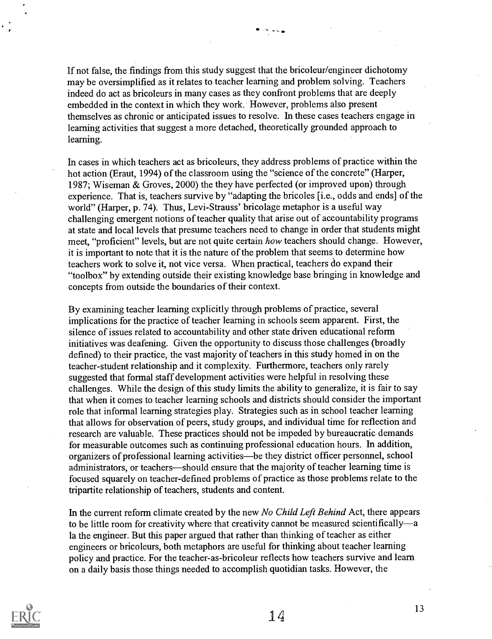If not false, the findings from this study suggest that the bricoleur/engineer dichotomy may be oversimplified as it relates to teacher learning and problem solving. Teachers indeed do act as bricoleurs in many cases as they confront problems that are deeply embedded in the context in which they work. However, problems also present themselves as chronic or anticipated issues to resolve. In these cases teachers engage in learning activities that suggest a more detached, theoretically grounded approach to learning.

محجات

In cases in which teachers act as bricoleurs, they address problems of practice within the hot action (Eraut, 1994) of the classroom using the "science of the concrete" (Harper, 1987; Wiseman & Groves, 2000) the they have perfected (or improved upon) through experience. That is, teachers survive by "adapting the bricoles [i.e., odds and ends] of the world" (Harper, p. 74). Thus, Levi-Strauss' bricolage metaphor is a useful way challenging emergent notions of teacher quality that arise out of accountability programs at state and local levels that presume teachers need to change in order that students might meet, "proficient" levels, but are not quite certain how teachers should change. However, it is important to note that it is the nature of the problem that seems to determine how teachers work to solve it, not vice versa. When practical, teachers do expand their "toolbox" by extending outside their existing knowledge base bringing in knowledge and concepts from outside the boundaries of their context.

By examining teacher learning explicitly through problems of practice, several implications for the practice of teacher learning in schools seem apparent. First, the silence of issues related to accountability and other state driven educational reform initiatives was deafening. Given the opportunity to discuss those challenges (broadly defined) to their practice, the vast majority of teachers in this study homed in on the teacher-student relationship and it complexity. Furthermore, teachers only rarely suggested that formal staff development activities were helpful in resolving these challenges. While the design of this study limits the ability to generalize, it is fair to say that when it comes to teacher learning schools and districts should consider the important role that informal learning strategies play. Strategies such as in school teacher learning that allows for observation of peers, study groups, and individual time for reflection and research are valuable. These practices should not be impeded by bureaucratic demands for measurable outcomes such as continuing professional education hours. In addition, organizers of professional learning activities—be they district officer personnel, school administrators, or teachers—should ensure that the majority of teacher learning time is focused squarely on teacher-defined problems of practice as those problems relate to the tripartite relationship of teachers, students and content.

In the current reform climate created by the new No Child Left Behind Act, there appears to be little room for creativity where that creativity cannot be measured scientifically—a la the engineer. But this paper argued that rather than thinking of teacher as either engineers or bricoleurs, both metaphors are useful for thinking about teacher learning policy and practice. For the teacher-as-bricoleur reflects how teachers survive and learn on a daily basis those things needed to accomplish quotidian tasks. However, the

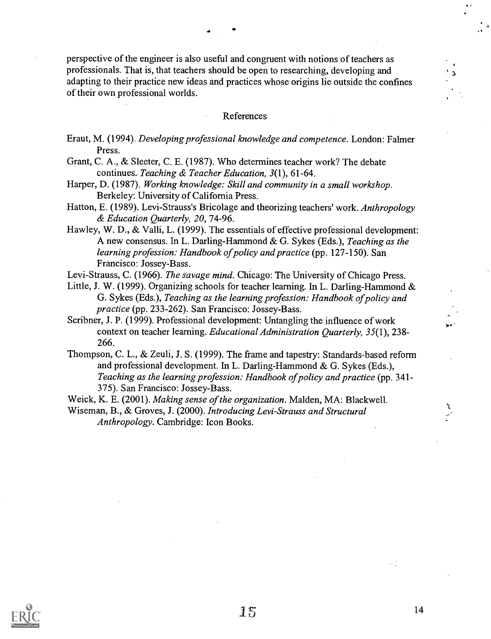perspective of the engineer is also useful and congruent with notions of teachers as professionals. That is, that teachers should be open to researching, developing and adapting to their practice new ideas and practices whose origins lie outside the confines of their own professional worlds.

#### References

- Eraut, M. (1994). Developing professional knowledge and competence. London: Falmer Press.
- Grant, C. A., & Sleeter, C. E. (1987). Who determines teacher work? The debate continues. Teaching & Teacher Education, 3(1), 61-64.
- Harper, D. (1987). Working knowledge: Skill and community in a small workshop. Berkeley: University of California Press.
- Hatton, E. (1989). Levi-Strauss's Bricolage and theorizing teachers' work. Anthropology & Education Quarterly, 20, 74-96.
- Hawley, W. D., & Valli, L. (1999). The essentials of effective professional development: A new consensus. In L. Darling-Hammond & G. Sykes (Eds.), Teaching as the learning profession: Handbook of policy and practice (pp. 127-150). San Francisco: Jossey-Bass.
- Levi-Strauss, C. (1966). The savage mind. Chicago: The University of Chicago Press.
- Little, J. W. (1999). Organizing schools for teacher learning. In L. Darling-Hammond & G. Sykes (Eds.), Teaching as the learning profession: Handbook of policy and practice (pp. 233-262). San Francisco: Jossey-Bass.
- Scribner, J. P. (1999). Professional development: Untangling the influence of work context on teacher learning. Educational Administration Quarterly, 35(1), 238-266.
- Thompson, C. L., & Zeuli, J. S. (1999). The frame and tapestry: Standards-based reform and professional development. In L. Darling-Hammond & G. Sykes (Eds.), Teaching as the learning profession: Handbook of policy and practice (pp. 341- 375). San Francisco: Jossey-Bass.

Weick, K. E. (2001). Making sense of the organization. Malden, MA: Blackwell.

Wiseman, B., & Groves, J. (2000). Introducing Levi-Strauss and Structural Anthropology. Cambridge: Icon Books.



14

 $\mathcal{L}_{\mathcal{F},\mathcal{F}}$ 

X  $\mathbf{x}^{\prime}$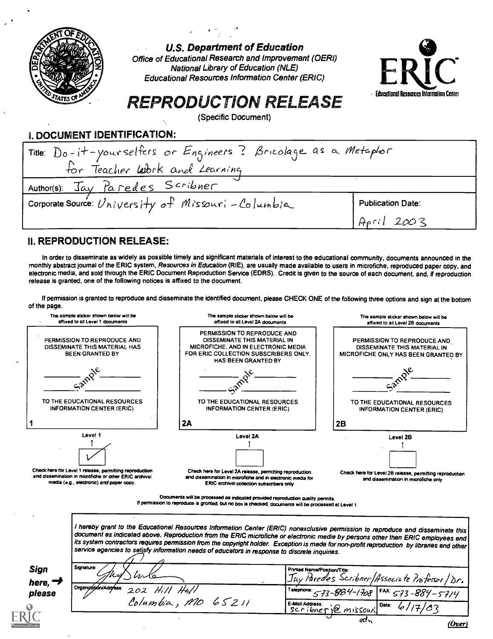

U.S. Department of Education

Office of Educational Research and Improvement (OERI) National Library of Education (NLE) Educational Resources Information Center (ERIC)



# REPRODUCTION RELEASE

(Specific Document)

## I. DOCUMENT IDENTIFICATION:

| Title: Do-it-yourselfers or Engineers? Bricolage as a Metaphor<br>for Teacher Work and Learning |                          |  |  |  |
|-------------------------------------------------------------------------------------------------|--------------------------|--|--|--|
| Author(s): Jay Paredes Scribner                                                                 |                          |  |  |  |
| corporate Source: University of Missuri-Columbia                                                | <b>Publication Date:</b> |  |  |  |
|                                                                                                 | April 2003               |  |  |  |

## II. REPRODUCTION RELEASE:

In order to disseminate as widely as possible timely and significant materials of interest to the educational community, documents announced in the monthly abstract journal of the ERIC system, Resources in Education (RIE), are usually made available to users in microfiche, reproduced paper copy, and electronic media, and sold through the ERIC Document Reproduction Service (EDRS). Credit is given to the source of each document, and, if reproduction release is granted, one of the following notices is affixed to the document.

If permission is granted to reproduce and disseminate the identified document, please CHECK ONE of the following three options and sign at the bottom of the page.



l hereby grant to the Educationel Resources Informetion Center (ERIC) nonexclusive permission to reproduce end disseminete this<br>document es indiceted ebove. Reproduction from the ERIC microfiche or electronic medie by pers its system contractors requires permission from the copyright holder. Exception is mede for non-profit reproduction by libraries end other<br>service egencies to setisfy informetion needs of educetors in response to discrete

Sign here,  $\rightarrow$ please

| Signature:<br><i>\lwle</i><br>$\mathscr{A}$ | Printed Name/Position/Title:<br>Juv Paredes Scribner/Associate Professor/Dr. |
|---------------------------------------------|------------------------------------------------------------------------------|
| Orgenizhijkn/Adafess: 202 Hill Heill        | Telephone: 5-73-884-1708   FAX: 5-73-884-5-714                               |
| Columbia, MO 65211                          | E-Mail Address:<br>Scribnerie missouri.<br>Date:<br>6117/02                  |
|                                             | ea u<br>$\mathbf{z}$                                                         |